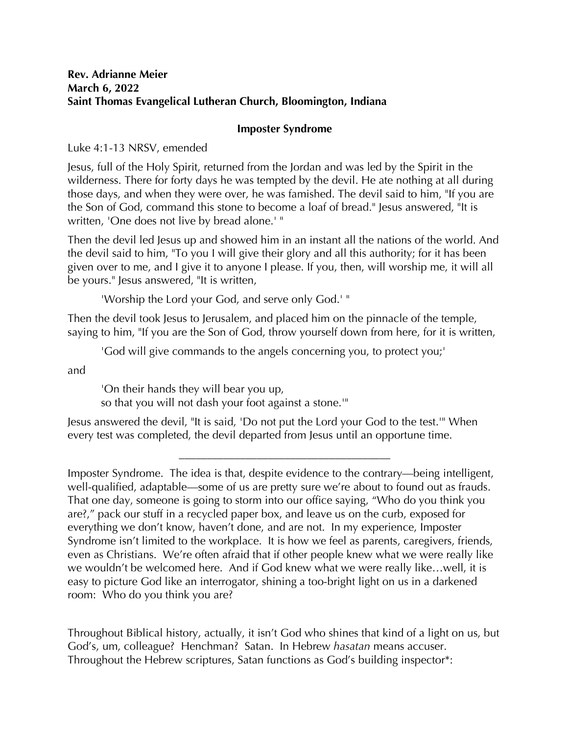## **Rev. Adrianne Meier March 6, 2022 Saint Thomas Evangelical Lutheran Church, Bloomington, Indiana**

## **Imposter Syndrome**

Luke 4:1-13 NRSV, emended

Jesus, full of the Holy Spirit, returned from the Jordan and was led by the Spirit in the wilderness. There for forty days he was tempted by the devil. He ate nothing at all during those days, and when they were over, he was famished. The devil said to him, "If you are the Son of God, command this stone to become a loaf of bread." Jesus answered, "It is written, 'One does not live by bread alone.' "

Then the devil led Jesus up and showed him in an instant all the nations of the world. And the devil said to him, "To you I will give their glory and all this authority; for it has been given over to me, and I give it to anyone I please. If you, then, will worship me, it will all be yours." Jesus answered, "It is written,

'Worship the Lord your God, and serve only God.' "

Then the devil took Jesus to Jerusalem, and placed him on the pinnacle of the temple, saying to him, "If you are the Son of God, throw yourself down from here, for it is written,

'God will give commands to the angels concerning you, to protect you;'

and

'On their hands they will bear you up, so that you will not dash your foot against a stone.'"

Jesus answered the devil, "It is said, 'Do not put the Lord your God to the test.'" When every test was completed, the devil departed from Jesus until an opportune time.

\_\_\_\_\_\_\_\_\_\_\_\_\_\_\_\_\_\_\_\_\_\_\_\_\_\_\_\_\_\_\_\_\_\_\_\_\_\_

Imposter Syndrome. The idea is that, despite evidence to the contrary—being intelligent, well-qualified, adaptable—some of us are pretty sure we're about to found out as frauds. That one day, someone is going to storm into our office saying, "Who do you think you are?," pack our stuff in a recycled paper box, and leave us on the curb, exposed for everything we don't know, haven't done, and are not. In my experience, Imposter Syndrome isn't limited to the workplace. It is how we feel as parents, caregivers, friends, even as Christians. We're often afraid that if other people knew what we were really like we wouldn't be welcomed here. And if God knew what we were really like…well, it is easy to picture God like an interrogator, shining a too-bright light on us in a darkened room: Who do you think you are?

Throughout Biblical history, actually, it isn't God who shines that kind of a light on us, but God's, um, colleague? Henchman? Satan. In Hebrew *hasatan* means accuser. Throughout the Hebrew scriptures, Satan functions as God's building inspector\*: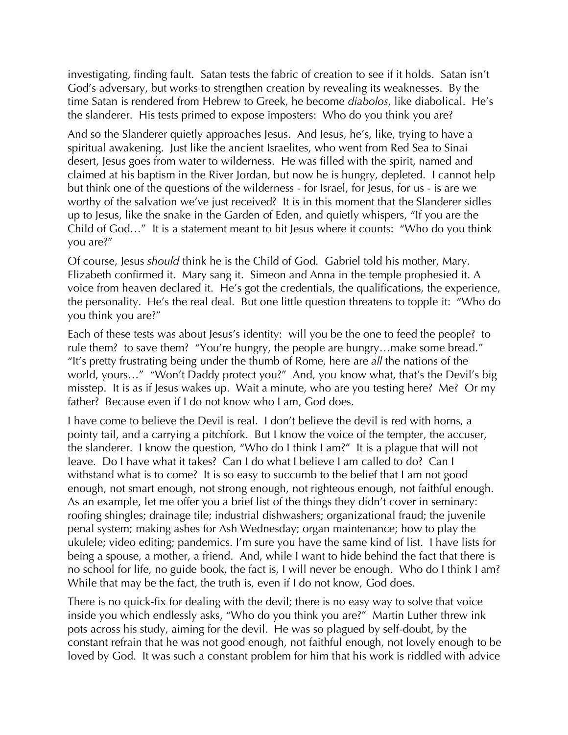investigating, finding fault. Satan tests the fabric of creation to see if it holds. Satan isn't God's adversary, but works to strengthen creation by revealing its weaknesses. By the time Satan is rendered from Hebrew to Greek, he become *diabolos*, like diabolical. He's the slanderer. His tests primed to expose imposters: Who do you think you are?

And so the Slanderer quietly approaches Jesus. And Jesus, he's, like, trying to have a spiritual awakening. Just like the ancient Israelites, who went from Red Sea to Sinai desert, Jesus goes from water to wilderness. He was filled with the spirit, named and claimed at his baptism in the River Jordan, but now he is hungry, depleted. I cannot help but think one of the questions of the wilderness - for Israel, for Jesus, for us - is are we worthy of the salvation we've just received? It is in this moment that the Slanderer sidles up to Jesus, like the snake in the Garden of Eden, and quietly whispers, "If you are the Child of God…" It is a statement meant to hit Jesus where it counts: "Who do you think you are?"

Of course, Jesus *should* think he is the Child of God. Gabriel told his mother, Mary. Elizabeth confirmed it. Mary sang it. Simeon and Anna in the temple prophesied it. A voice from heaven declared it. He's got the credentials, the qualifications, the experience, the personality. He's the real deal. But one little question threatens to topple it: "Who do you think you are?"

Each of these tests was about Jesus's identity: will you be the one to feed the people? to rule them? to save them? "You're hungry, the people are hungry...make some bread." "It's pretty frustrating being under the thumb of Rome, here are *all* the nations of the world, yours…" "Won't Daddy protect you?" And, you know what, that's the Devil's big misstep. It is as if Jesus wakes up. Wait a minute, who are you testing here? Me? Or my father? Because even if I do not know who I am, God does.

I have come to believe the Devil is real. I don't believe the devil is red with horns, a pointy tail, and a carrying a pitchfork. But I know the voice of the tempter, the accuser, the slanderer. I know the question, "Who do I think I am?" It is a plague that will not leave. Do I have what it takes? Can I do what I believe I am called to do? Can I withstand what is to come? It is so easy to succumb to the belief that I am not good enough, not smart enough, not strong enough, not righteous enough, not faithful enough. As an example, let me offer you a brief list of the things they didn't cover in seminary: roofing shingles; drainage tile; industrial dishwashers; organizational fraud; the juvenile penal system; making ashes for Ash Wednesday; organ maintenance; how to play the ukulele; video editing; pandemics. I'm sure you have the same kind of list. I have lists for being a spouse, a mother, a friend. And, while I want to hide behind the fact that there is no school for life, no guide book, the fact is, I will never be enough. Who do I think I am? While that may be the fact, the truth is, even if I do not know, God does.

There is no quick-fix for dealing with the devil; there is no easy way to solve that voice inside you which endlessly asks, "Who do you think you are?" Martin Luther threw ink pots across his study, aiming for the devil. He was so plagued by self-doubt, by the constant refrain that he was not good enough, not faithful enough, not lovely enough to be loved by God. It was such a constant problem for him that his work is riddled with advice